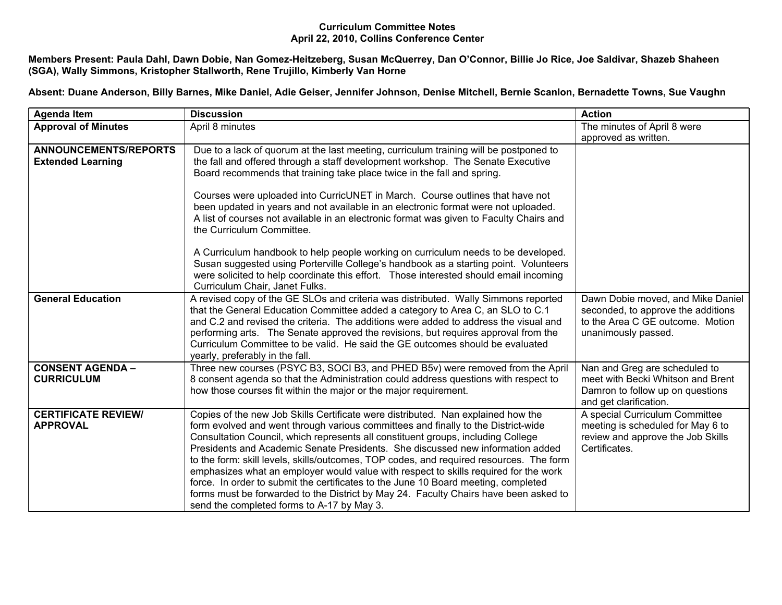## **Curriculum Committee Notes April 22, 2010, Collins Conference Center**

Members Present: Paula Dahl, Dawn Dobie, Nan Gomez-Heitzeberg, Susan McQuerrey, Dan O'Connor, Billie Jo Rice, Joe Saldivar, Shazeb Shaheen **(SGA), Wally Simmons, Kristopher Stallworth, Rene Trujillo, Kimberly Van Horne**

Absent: Duane Anderson, Billy Barnes, Mike Daniel, Adie Geiser, Jennifer Johnson, Denise Mitchell, Bernie Scanlon, Bernadette Towns, Sue Vaughn

| <b>Agenda Item</b>                                       | <b>Discussion</b>                                                                                                                                                                                                                                                                                                                                                                                                                                                                                                                                                                                                                                                                                                                                          | <b>Action</b>                                                                                                                      |
|----------------------------------------------------------|------------------------------------------------------------------------------------------------------------------------------------------------------------------------------------------------------------------------------------------------------------------------------------------------------------------------------------------------------------------------------------------------------------------------------------------------------------------------------------------------------------------------------------------------------------------------------------------------------------------------------------------------------------------------------------------------------------------------------------------------------------|------------------------------------------------------------------------------------------------------------------------------------|
| <b>Approval of Minutes</b>                               | April 8 minutes                                                                                                                                                                                                                                                                                                                                                                                                                                                                                                                                                                                                                                                                                                                                            | The minutes of April 8 were                                                                                                        |
|                                                          |                                                                                                                                                                                                                                                                                                                                                                                                                                                                                                                                                                                                                                                                                                                                                            | approved as written.                                                                                                               |
| <b>ANNOUNCEMENTS/REPORTS</b><br><b>Extended Learning</b> | Due to a lack of quorum at the last meeting, curriculum training will be postponed to<br>the fall and offered through a staff development workshop. The Senate Executive<br>Board recommends that training take place twice in the fall and spring.                                                                                                                                                                                                                                                                                                                                                                                                                                                                                                        |                                                                                                                                    |
|                                                          | Courses were uploaded into CurricUNET in March. Course outlines that have not<br>been updated in years and not available in an electronic format were not uploaded.<br>A list of courses not available in an electronic format was given to Faculty Chairs and<br>the Curriculum Committee.                                                                                                                                                                                                                                                                                                                                                                                                                                                                |                                                                                                                                    |
|                                                          | A Curriculum handbook to help people working on curriculum needs to be developed.<br>Susan suggested using Porterville College's handbook as a starting point. Volunteers<br>were solicited to help coordinate this effort. Those interested should email incoming<br>Curriculum Chair, Janet Fulks.                                                                                                                                                                                                                                                                                                                                                                                                                                                       |                                                                                                                                    |
| <b>General Education</b>                                 | A revised copy of the GE SLOs and criteria was distributed. Wally Simmons reported<br>that the General Education Committee added a category to Area C, an SLO to C.1<br>and C.2 and revised the criteria. The additions were added to address the visual and<br>performing arts. The Senate approved the revisions, but requires approval from the<br>Curriculum Committee to be valid. He said the GE outcomes should be evaluated<br>yearly, preferably in the fall.                                                                                                                                                                                                                                                                                     | Dawn Dobie moved, and Mike Daniel<br>seconded, to approve the additions<br>to the Area C GE outcome. Motion<br>unanimously passed. |
| <b>CONSENT AGENDA -</b><br><b>CURRICULUM</b>             | Three new courses (PSYC B3, SOCI B3, and PHED B5v) were removed from the April<br>8 consent agenda so that the Administration could address questions with respect to<br>how those courses fit within the major or the major requirement.                                                                                                                                                                                                                                                                                                                                                                                                                                                                                                                  | Nan and Greg are scheduled to<br>meet with Becki Whitson and Brent<br>Damron to follow up on questions<br>and get clarification.   |
| <b>CERTIFICATE REVIEW/</b><br><b>APPROVAL</b>            | Copies of the new Job Skills Certificate were distributed. Nan explained how the<br>form evolved and went through various committees and finally to the District-wide<br>Consultation Council, which represents all constituent groups, including College<br>Presidents and Academic Senate Presidents. She discussed new information added<br>to the form: skill levels, skills/outcomes, TOP codes, and required resources. The form<br>emphasizes what an employer would value with respect to skills required for the work<br>force. In order to submit the certificates to the June 10 Board meeting, completed<br>forms must be forwarded to the District by May 24. Faculty Chairs have been asked to<br>send the completed forms to A-17 by May 3. | A special Curriculum Committee<br>meeting is scheduled for May 6 to<br>review and approve the Job Skills<br>Certificates.          |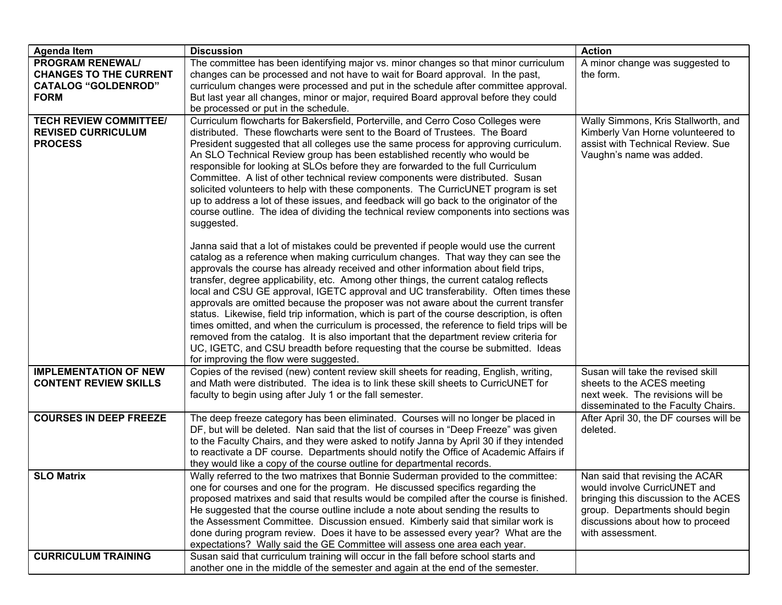| <b>Agenda Item</b>                                                                                    | <b>Discussion</b>                                                                                                                                                                                                                                                                                                                                                                                                                                                                                                                                                                                                                                                                                                                                                                                                                                                                         | <b>Action</b>                                                                                                                                                                                      |
|-------------------------------------------------------------------------------------------------------|-------------------------------------------------------------------------------------------------------------------------------------------------------------------------------------------------------------------------------------------------------------------------------------------------------------------------------------------------------------------------------------------------------------------------------------------------------------------------------------------------------------------------------------------------------------------------------------------------------------------------------------------------------------------------------------------------------------------------------------------------------------------------------------------------------------------------------------------------------------------------------------------|----------------------------------------------------------------------------------------------------------------------------------------------------------------------------------------------------|
| <b>PROGRAM RENEWAL/</b><br><b>CHANGES TO THE CURRENT</b><br><b>CATALOG "GOLDENROD"</b><br><b>FORM</b> | The committee has been identifying major vs. minor changes so that minor curriculum<br>changes can be processed and not have to wait for Board approval. In the past,<br>curriculum changes were processed and put in the schedule after committee approval.<br>But last year all changes, minor or major, required Board approval before they could<br>be processed or put in the schedule.                                                                                                                                                                                                                                                                                                                                                                                                                                                                                              | A minor change was suggested to<br>the form.                                                                                                                                                       |
| <b>TECH REVIEW COMMITTEE/</b><br><b>REVISED CURRICULUM</b><br><b>PROCESS</b>                          | Curriculum flowcharts for Bakersfield, Porterville, and Cerro Coso Colleges were<br>distributed. These flowcharts were sent to the Board of Trustees. The Board<br>President suggested that all colleges use the same process for approving curriculum.<br>An SLO Technical Review group has been established recently who would be<br>responsible for looking at SLOs before they are forwarded to the full Curriculum<br>Committee. A list of other technical review components were distributed. Susan<br>solicited volunteers to help with these components. The CurricUNET program is set<br>up to address a lot of these issues, and feedback will go back to the originator of the<br>course outline. The idea of dividing the technical review components into sections was<br>suggested.<br>Janna said that a lot of mistakes could be prevented if people would use the current | Wally Simmons, Kris Stallworth, and<br>Kimberly Van Horne volunteered to<br>assist with Technical Review. Sue<br>Vaughn's name was added.                                                          |
|                                                                                                       | catalog as a reference when making curriculum changes. That way they can see the<br>approvals the course has already received and other information about field trips,<br>transfer, degree applicability, etc. Among other things, the current catalog reflects<br>local and CSU GE approval, IGETC approval and UC transferability. Often times these<br>approvals are omitted because the proposer was not aware about the current transfer<br>status. Likewise, field trip information, which is part of the course description, is often<br>times omitted, and when the curriculum is processed, the reference to field trips will be<br>removed from the catalog. It is also important that the department review criteria for<br>UC, IGETC, and CSU breadth before requesting that the course be submitted. Ideas<br>for improving the flow were suggested.                         |                                                                                                                                                                                                    |
| <b>IMPLEMENTATION OF NEW</b><br><b>CONTENT REVIEW SKILLS</b>                                          | Copies of the revised (new) content review skill sheets for reading, English, writing,<br>and Math were distributed. The idea is to link these skill sheets to CurricUNET for<br>faculty to begin using after July 1 or the fall semester.                                                                                                                                                                                                                                                                                                                                                                                                                                                                                                                                                                                                                                                | Susan will take the revised skill<br>sheets to the ACES meeting<br>next week. The revisions will be<br>disseminated to the Faculty Chairs.                                                         |
| <b>COURSES IN DEEP FREEZE</b>                                                                         | The deep freeze category has been eliminated. Courses will no longer be placed in<br>DF, but will be deleted. Nan said that the list of courses in "Deep Freeze" was given<br>to the Faculty Chairs, and they were asked to notify Janna by April 30 if they intended<br>to reactivate a DF course. Departments should notify the Office of Academic Affairs if<br>they would like a copy of the course outline for departmental records.                                                                                                                                                                                                                                                                                                                                                                                                                                                 | After April 30, the DF courses will be<br>deleted.                                                                                                                                                 |
| <b>SLO Matrix</b>                                                                                     | Wally referred to the two matrixes that Bonnie Suderman provided to the committee:<br>one for courses and one for the program. He discussed specifics regarding the<br>proposed matrixes and said that results would be compiled after the course is finished.<br>He suggested that the course outline include a note about sending the results to<br>the Assessment Committee. Discussion ensued. Kimberly said that similar work is<br>done during program review. Does it have to be assessed every year? What are the<br>expectations? Wally said the GE Committee will assess one area each year.                                                                                                                                                                                                                                                                                    | Nan said that revising the ACAR<br>would involve CurricUNET and<br>bringing this discussion to the ACES<br>group. Departments should begin<br>discussions about how to proceed<br>with assessment. |
| <b>CURRICULUM TRAINING</b>                                                                            | Susan said that curriculum training will occur in the fall before school starts and<br>another one in the middle of the semester and again at the end of the semester.                                                                                                                                                                                                                                                                                                                                                                                                                                                                                                                                                                                                                                                                                                                    |                                                                                                                                                                                                    |